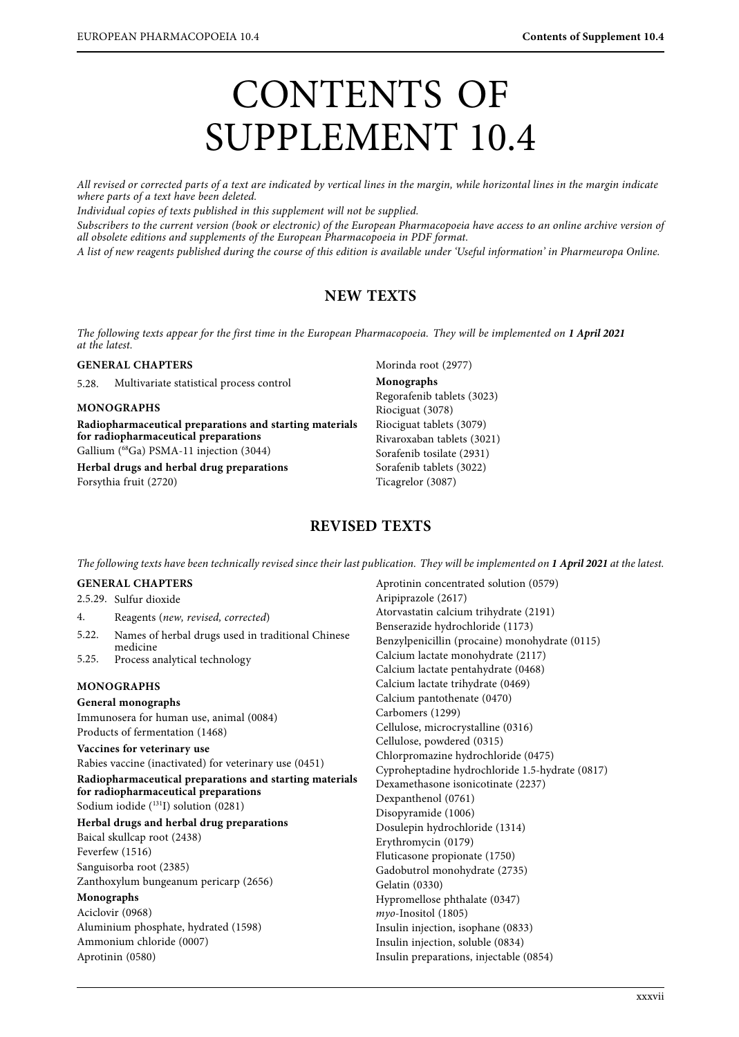# CONTENTS OF SUPPLEMENT 10.4

All revised or corrected parts of a text are indicated by vertical lines in the margin, while horizontal lines in the margin indicate where parts of a text have been deleted.

Individual copies of texts published in this supplement will not be supplied.

Subscribers to the current version (book or electronic) of the European Pharmacopoeia have access to an online archive version of all obsolete editions and supplements of the European Pharmacopoeia in PDF format.

 $\overline{A}$  list of new reggents published during the course of this edition is evailable under To A singular of  $\mathcal{S}_{\text{c}}$  is available under  $\mathcal{S}_{\text{c}}$  in  $\mathcal{S}_{\text{c}}$  in Pharmeuropa Online. In Pharmeuropa Online.

# **NEW TEXTS**

The following texts appear for the first time in the European Pharmacopoeia. They will be implemented on **1 April 2021**

#### **GENERAL CHAPTERS**

5.28. Multivariate statistical process control

#### **MONOGRAPHS**

**Radiopharmaceutical preparations and starting materials for radiopharmaceutical preparations** Gallium (68Ga) PSMA-11 injection (3044) **Herbal drugs and herbal drug preparations**

Forsythia fruit (2720)

Morinda root (2977) **Monographs** Regorafenib tablets (3023) Riociguat (3078) Riociguat tablets (3079) Rivaroxaban tablets (3021) Sorafenib tosilate (2931) Sorafenib tablets (3022) Ticagrelor (3087)

Aprotinin concentrated solution (0579)

## **REVISED TEXTS**

The following texts have been technically revised since their last publication. They will be implemented on **1 April 2021** at the latest.

## **GENERAL CHAPTERS**

|                                                         | 2.5.29. Sulfur dioxide                                                                         | Aripiprazole (2617)                                  |
|---------------------------------------------------------|------------------------------------------------------------------------------------------------|------------------------------------------------------|
| 4.                                                      | Reagents (new, revised, corrected)                                                             | Atorvastatin calcium trihydrate (2191)               |
| 5.22.<br>5.25.                                          | Names of herbal drugs used in traditional Chinese<br>medicine<br>Process analytical technology | Benserazide hydrochloride (1173)                     |
|                                                         |                                                                                                | Benzylpenicillin (procaine) monohydrate (0115)       |
|                                                         |                                                                                                | Calcium lactate monohydrate (2117)                   |
|                                                         |                                                                                                | Calcium lactate pentahydrate (0468)                  |
| <b>MONOGRAPHS</b>                                       |                                                                                                | Calcium lactate trihydrate (0469)                    |
| General monographs                                      |                                                                                                | Calcium pantothenate (0470)                          |
| Immunosera for human use, animal (0084)                 |                                                                                                | Carbomers (1299)                                     |
| Products of fermentation (1468)                         |                                                                                                | Cellulose, microcrystalline (0316)                   |
| Vaccines for veterinary use                             |                                                                                                | Cellulose, powdered (0315)                           |
| Rabies vaccine (inactivated) for veterinary use (0451)  |                                                                                                | Chlorpromazine hydrochloride (0475)                  |
| Radiopharmaceutical preparations and starting materials |                                                                                                | Cyproheptadine hydrochloride 1.5-hydrate (0817)      |
| for radiopharmaceutical preparations                    |                                                                                                | Dexamethasone isonicotinate (2237)                   |
| Sodium iodide $(^{131}I)$ solution $(0281)$             |                                                                                                | Dexpanthenol (0761)                                  |
| Herbal drugs and herbal drug preparations               |                                                                                                | Disopyramide (1006)                                  |
| Baical skullcap root (2438)                             |                                                                                                | Dosulepin hydrochloride (1314)                       |
| Feverfew (1516)                                         |                                                                                                | Erythromycin (0179)<br>Fluticasone propionate (1750) |
| Sanguisorba root (2385)                                 |                                                                                                | Gadobutrol monohydrate (2735)                        |
| Zanthoxylum bungeanum pericarp (2656)                   |                                                                                                | Gelatin (0330)                                       |
| Monographs                                              |                                                                                                | Hypromellose phthalate (0347)                        |
| Aciclovir (0968)                                        |                                                                                                | myo-Inositol (1805)                                  |
| Aluminium phosphate, hydrated (1598)                    |                                                                                                | Insulin injection, isophane (0833)                   |
| Ammonium chloride (0007)                                |                                                                                                | Insulin injection, soluble (0834)                    |
| Aprotinin (0580)                                        |                                                                                                | Insulin preparations, injectable (0854)              |
|                                                         |                                                                                                |                                                      |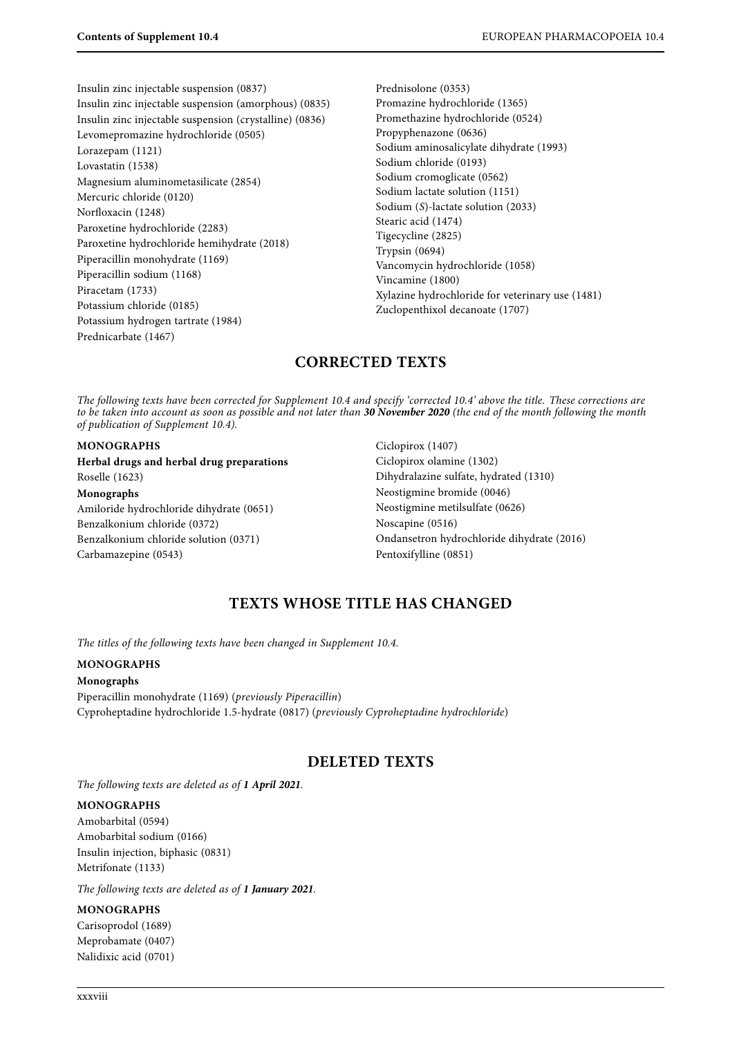Insulin zinc injectable suspension (0837) Insulin zinc injectable suspension (amorphous) (0835) Insulin zinc injectable suspension (crystalline) (0836) Levomepromazine hydrochloride (0505) Lorazepam (1121) Lovastatin (1538) Magnesium aluminometasilicate (2854) Mercuric chloride (0120) Norfloxacin (1248) Paroxetine hydrochloride (2283) Paroxetine hydrochloride hemihydrate (2018) Piperacillin monohydrate (1169) Piperacillin sodium (1168) Piracetam (1733) Potassium chloride (0185) Potassium hydrogen tartrate (1984) Prednicarbate (1467)

Prednisolone (0353) Promazine hydrochloride (1365) Promethazine hydrochloride (0524) Propyphenazone (0636) Sodium aminosalicylate dihydrate (1993) Sodium chloride (0193) Sodium cromoglicate (0562) Sodium lactate solution (1151) Sodium (S)-lactate solution (2033) Stearic acid (1474) Tigecycline (2825) Trypsin (0694) Vancomycin hydrochloride (1058) Vincamine (1800) Xylazine hydrochloride for veterinary use (1481) Zuclopenthixol decanoate (1707)

# **CORRECTED TEXTS**

to be taken into account as soon as possible and not later than **30 November 2020** (the end of the month following the month<br>of publication of Supplement 10.4). of publication of Supplement 10.4).

#### **MONOGRAPHS**

**Herbal drugs and herbal drug preparations** Roselle (1623) **Monographs** Amiloride hydrochloride dihydrate (0651) Benzalkonium chloride (0372) Benzalkonium chloride solution (0371) Carbamazepine (0543)

Ciclopirox (1407) Ciclopirox olamine (1302) Dihydralazine sulfate, hydrated (1310) Neostigmine bromide (0046) Neostigmine metilsulfate (0626) Noscapine (0516) Ondansetron hydrochloride dihydrate (2016) Pentoxifylline (0851)

## **TEXTS WHOSE TITLE HAS CHANGED**

The titles of the following texts have been changed in Supplement 10.4.

#### **MONOGRAPHS**

**Monographs** Piperacillin monohydrate (1169) (previously Piperacillin) Cyproheptadine hydrochloride 1.5-hydrate (0817) (previously Cyproheptadine hydrochloride)

## **DELETED TEXTS**

The following texts are deleted as of **1 April 2021**.

#### **MONOGRAPHS**

Amobarbital (0594) Amobarbital sodium (0166) Insulin injection, biphasic (0831) Metrifonate (1133)

The following texts are deleted as of **1 January 2021**.

#### **MONOGRAPHS**

Carisoprodol (1689) Meprobamate (0407) Nalidixic acid (0701)